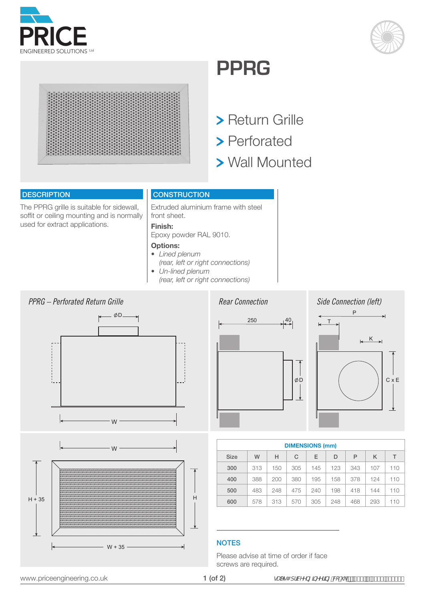





## **PPRG**

- **> Return Grille**
- > Perforated
- Wall Mounted

#### **DESCRIPTION**

The PPRG grille is suitable for sidewall, soffit or ceiling mounting and is normally used for extract applications.

#### **CONSTRUCTION**

Extruded aluminium frame with steel front sheet.

### **Finish:**

Epoxy powder RAL 9010.

#### **Options:**

- *Lined plenum*
- *(rear, left or right connections)*
- *Un-lined plenum*
- *(rear, left or right connections)*







| <b>DIMENSIONS (mm)</b> |     |     |     |     |     |     |     |     |
|------------------------|-----|-----|-----|-----|-----|-----|-----|-----|
| <b>Size</b>            | W   | н   | C   | E   | D   | Р   | κ   | Т   |
| 300                    | 313 | 150 | 305 | 145 | 123 | 343 | 107 | 110 |
| 400                    | 388 | 200 | 380 | 195 | 158 | 378 | 124 | 110 |
| 500                    | 483 | 248 | 475 | 240 | 198 | 418 | 144 | 110 |
| 600                    | 578 | 313 | 570 | 305 | 248 | 468 | 293 | 110 |

#### **NOTES**

Please advise at time of order if face screws are required.